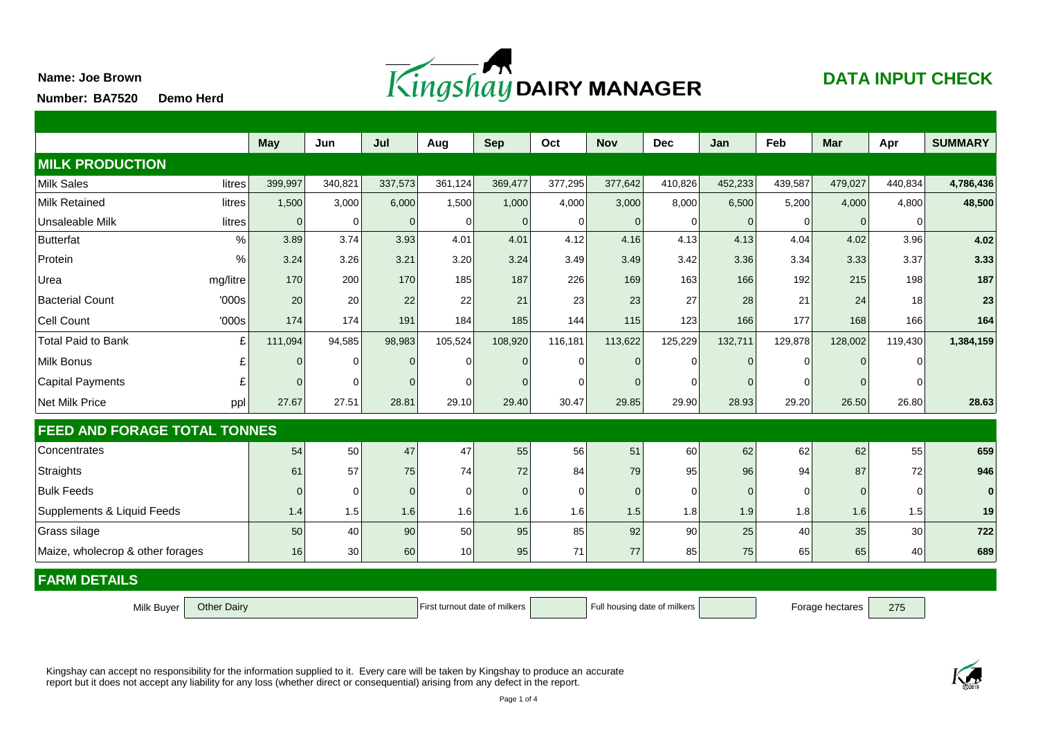

## **DATA INPUT CHECK**

**Demo Herd Number:**

**Name: Joe Brown**

|                                     | <b>May</b>                    | Jun      | Jul      | Aug                          | <b>Sep</b>     | Oct            | <b>Nov</b> | <b>Dec</b>      | Jan            | Feb      | <b>Mar</b>   | Apr     | <b>SUMMARY</b> |
|-------------------------------------|-------------------------------|----------|----------|------------------------------|----------------|----------------|------------|-----------------|----------------|----------|--------------|---------|----------------|
| <b>MILK PRODUCTION</b>              |                               |          |          |                              |                |                |            |                 |                |          |              |         |                |
| litres<br>Milk Sales                | 399,997                       | 340,821  | 337,573  | 361,124                      | 369,477        | 377,295        | 377,642    | 410,826         | 452,233        | 439,587  | 479,027      | 440,834 | 4,786,436      |
| Milk Retained<br>litres             | 1,500                         | 3,000    | 6,000    | 1,500                        | 1,000          | 4,000          | 3,000      | 8,000           | 6,500          | 5,200    | 4,000        | 4,800   | 48,500         |
| Unsaleable Milk<br>litres           | $\Omega$                      | $\Omega$ | $\Omega$ | $\Omega$                     | $\mathbf 0$    | 0              | ∩          | 0               | $\Omega$       | 0        | $\mathbf{0}$ | ∩       |                |
| $\frac{0}{0}$<br><b>Butterfat</b>   | 3.89                          | 3.74     | 3.93     | 4.01                         | 4.01           | 4.12           | 4.16       | 4.13            | 4.13           | 4.04     | 4.02         | 3.96    | 4.02           |
| $\%$<br>Protein                     | 3.24                          | 3.26     | 3.21     | 3.20                         | 3.24           | 3.49           | 3.49       | 3.42            | 3.36           | 3.34     | 3.33         | 3.37    | 3.33           |
| Urea<br>mg/litre                    | 170                           | 200      | 170      | 185                          | 187            | 226            | 169        | 163             | 166            | 192      | 215          | 198     | 187            |
| <b>Bacterial Count</b><br>'000s     | 20                            | 20       | 22       | 22                           | 21             | 23             | 23         | 27              | 28             | 21       | 24           | 18      | 23             |
| Cell Count<br>'000s                 | 174                           | 174      | 191      | 184                          | 185            | 144            | 115        | 123             | 166            | 177      | 168          | 166     | 164            |
| <b>Total Paid to Bank</b><br>£      | 111,094                       | 94,585   | 98,983   | 105,524                      | 108,920        | 116,181        | 113,622    | 125,229         | 132,711        | 129,878  | 128,002      | 119,430 | 1,384,159      |
| Milk Bonus<br>£                     | $\Omega$                      | U        | $\Omega$ | $\Omega$                     | $\overline{0}$ | $\Omega$       |            | $\Omega$        | $\Omega$       | 0        | $\Omega$     |         |                |
| Capital Payments<br>£               | $\Omega$                      | ∩        |          | ∩                            | $\Omega$       | 0              |            | $\Omega$        | $\Omega$       | $\Omega$ | 0            |         |                |
| Net Milk Price<br>ppl               | 27.67                         | 27.51    | 28.81    | 29.10                        | 29.40          | 30.47          | 29.85      | 29.90           | 28.93          | 29.20    | 26.50        | 26.80   | 28.63          |
| <b>FEED AND FORAGE TOTAL TONNES</b> |                               |          |          |                              |                |                |            |                 |                |          |              |         |                |
| Concentrates                        | 54                            | 50       | 47       | 47                           | 55             | 56             | 51         | 60              | 62             | 62       | 62           | 55      | 659            |
| Straights                           | 61                            | 57       | 75       | 74                           | 72             | 84             | 79         | 95              | 96             | 94       | 87           | 72      | 946            |
| <b>Bulk Feeds</b>                   | $\Omega$                      | $\Omega$ | $\Omega$ | $\Omega$                     | $\mathbf 0$    | $\overline{0}$ | $\Omega$   | $\Omega$        | $\overline{0}$ | 0        | $\mathbf 0$  | 0       | $\bf{0}$       |
| Supplements & Liquid Feeds          | 1.4                           | 1.5      | 1.6      | 1.6                          | 1.6            | 1.6            | 1.5        | 1.8             | 1.9            | 1.8      | 1.6          | 1.5     | 19             |
| Grass silage                        | 50                            | 40       | 90       | 50                           | 95             | 85             | 92         | 90              | 25             | 40       | 35           | 30      | 722            |
| Maize, wholecrop & other forages    | 16                            | 30       | 60       | 10                           | 95             | 71             | 77         | 85              | 75             | 65       | 65           | 40      | 689            |
| <b>FARM DETAILS</b>                 |                               |          |          |                              |                |                |            |                 |                |          |              |         |                |
| <b>Other Dairy</b><br>Milk Buyer    | First turnout date of milkers |          |          | Full housing date of milkers |                |                |            | Forage hectares | 275            |          |              |         |                |

Kingshay can accept no responsibility for the information supplied to it. Every care will be taken by Kingshay to produce an accurate report but it does not accept any liability for any loss (whether direct or consequential) arising from any defect in the report.

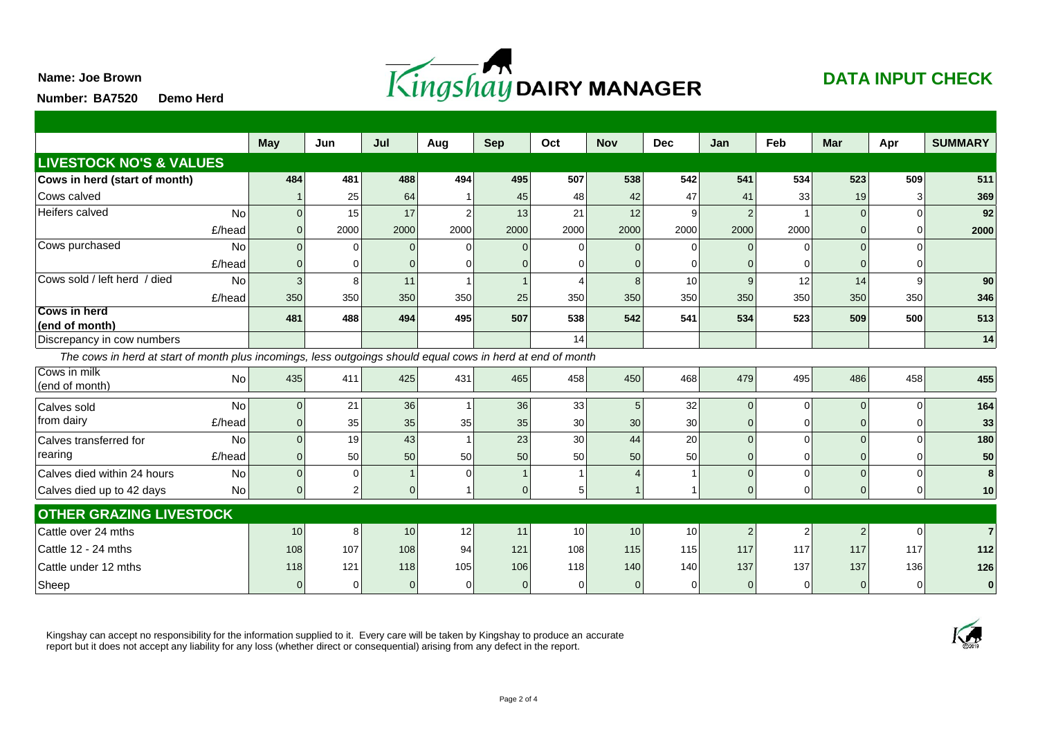**Name: Joe Brown**



## **DATA INPUT CHECK**

**Demo Herd Number:**

|                                                                                                             | <b>May</b>     | Jun      | Jul  | Aug      | <b>Sep</b>     | Oct             | <b>Nov</b> | <b>Dec</b> | Jan            | Feb            | <b>Mar</b> | Apr          | <b>SUMMARY</b> |
|-------------------------------------------------------------------------------------------------------------|----------------|----------|------|----------|----------------|-----------------|------------|------------|----------------|----------------|------------|--------------|----------------|
| <b>LIVESTOCK NO'S &amp; VALUES</b>                                                                          |                |          |      |          |                |                 |            |            |                |                |            |              |                |
| Cows in herd (start of month)                                                                               | 484            | 481      | 488  | 494      | 495            | 507             | 538        | 542        | 541            | 534            | 523        | 509          | 511            |
| Cows calved                                                                                                 |                | 25       | 64   |          | 45             | 48              | 42         | 47         | 41             | 33             | 19         |              | 369            |
| Heifers calved<br>No                                                                                        | $\Omega$       | 15       | 17   | 2        | 13             | 21              | 12         | 9          | $\overline{2}$ |                | $\Omega$   | $\Omega$     | 92             |
| £/head                                                                                                      | $\mathbf 0$    | 2000     | 2000 | 2000     | 2000           | 2000            | 2000       | 2000       | 2000           | 2000           |            | O            | 2000           |
| Cows purchased<br>No                                                                                        | $\Omega$       | 0        |      | $\Omega$ | $\Omega$       | $\Omega$        |            | $\Omega$   | $\Omega$       |                | $\Omega$   | ∩            |                |
| £/head                                                                                                      | $\mathbf{0}$   | U        |      |          | $\Omega$       | 0               |            | $\Omega$   |                | U              |            |              |                |
| Cows sold / left herd / died<br><b>No</b>                                                                   | $\mathbf{3}$   | 8        | 11   |          | $\overline{1}$ | 4               |            | 10         | 9              | 12             | 14         | $\mathbf{Q}$ | 90             |
| £/head                                                                                                      | 350            | 350      | 350  | 350      | 25             | 350             | 350        | 350        | 350            | 350            | 350        | 350          | 346            |
| <b>Cows in herd</b><br>(end of month)                                                                       | 481            | 488      | 494  | 495      | 507            | 538             | 542        | 541        | 534            | 523            | 509        | 500          | 513            |
| Discrepancy in cow numbers                                                                                  |                |          |      |          |                | 14              |            |            |                |                |            |              | 14             |
| The cows in herd at start of month plus incomings, less outgoings should equal cows in herd at end of month |                |          |      |          |                |                 |            |            |                |                |            |              |                |
| Cows in milk<br>No<br>(end of month)                                                                        | 435            | 411      | 425  | 431      | 465            | 458             | 450        | 468        | 479            | 495            | 486        | 458          | 455            |
| No<br>Calves sold                                                                                           | $\mathbf 0$    | 21       | 36   |          | 36             | 33              |            | 32         | $\Omega$       | $\overline{0}$ | $\Omega$   | $\Omega$     | 164            |
| from dairy<br>£/head                                                                                        | $\mathbf 0$    | 35       | 35   | 35       | 35             | 30 <sup>°</sup> | 30         | 30         | $\Omega$       | $\Omega$       | 0          | U            | 33             |
| <b>No</b><br>Calves transferred for                                                                         | $\overline{0}$ | 19       | 43   |          | 23             | 30 <sup>°</sup> | 44         | 20         | $\Omega$       | 0              |            | $\Omega$     | 180            |
| rearing<br>£/head                                                                                           | $\mathbf 0$    | 50       | 50   | 50       | 50             | 50              | 50         | 50         | $\mathbf{0}$   | 0              |            | $\Omega$     | 50             |
| Calves died within 24 hours<br>No                                                                           | $\Omega$       | $\Omega$ |      | $\Omega$ | $\overline{1}$ | $\mathbf{1}$    |            |            | $\Omega$       | $\Omega$       |            | $\Omega$     |                |
| <b>No</b><br>Calves died up to 42 days                                                                      | $\mathbf 0$    | 2        |      |          | $\mathbf 0$    | 5 <sup>5</sup>  |            |            | $\Omega$       | 0              |            | O            | 10             |
| <b>OTHER GRAZING LIVESTOCK</b>                                                                              |                |          |      |          |                |                 |            |            |                |                |            |              |                |
| Cattle over 24 mths                                                                                         | 10             | 8        | 10   | 12       | 11             | 10              | 10         | 10         | $\overline{2}$ | 2              | 2          | $\Omega$     |                |
| Cattle 12 - 24 mths                                                                                         | 108            | 107      | 108  | 94       | 121            | 108             | 115        | 115        | 117            | 117            | 117        | 117          | 112            |
| Cattle under 12 mths                                                                                        | 118            | 121      | 118  | 105      | 106            | 118             | 140        | 140        | 137            | 137            | 137        | 136          | 126            |
| Sheep                                                                                                       |                |          |      |          | $\Omega$       | 0               |            | $\Omega$   |                | 0              |            |              | $\mathbf{0}$   |

Kingshay can accept no responsibility for the information supplied to it. Every care will be taken by Kingshay to produce an accurate report but it does not accept any liability for any loss (whether direct or consequential) arising from any defect in the report.

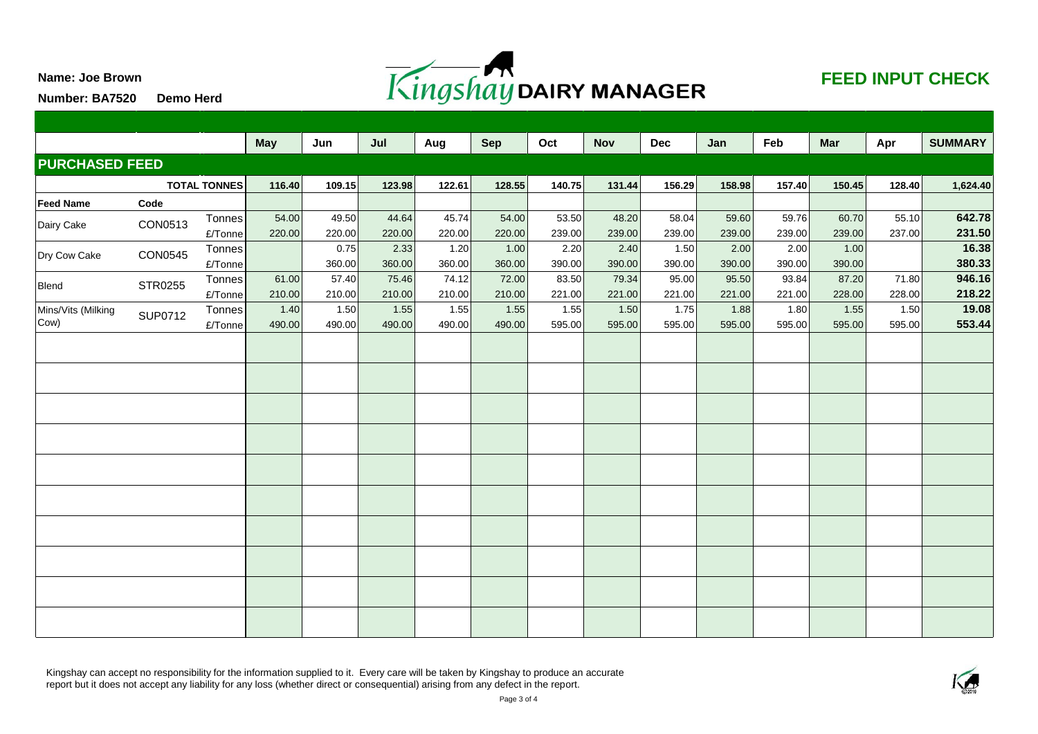

## **FEED INPUT CHECK**

**Number: BA7520 Demo Herd**

**Name: Joe Brown**

|                       |                |         | <b>May</b> | Jun    | Jul    | Aug    | <b>Sep</b> | Oct    | <b>Nov</b> | <b>Dec</b> | Jan    | Feb    | Mar    | Apr      | <b>SUMMARY</b> |
|-----------------------|----------------|---------|------------|--------|--------|--------|------------|--------|------------|------------|--------|--------|--------|----------|----------------|
| <b>PURCHASED FEED</b> |                |         |            |        |        |        |            |        |            |            |        |        |        |          |                |
| <b>TOTAL TONNES</b>   |                | 116.40  | 109.15     | 123.98 | 122.61 | 128.55 | 140.75     | 131.44 | 156.29     | 158.98     | 157.40 | 150.45 | 128.40 | 1,624.40 |                |
| Feed Name             | Code           |         |            |        |        |        |            |        |            |            |        |        |        |          |                |
| Dairy Cake            | CON0513        | Tonnes  | 54.00      | 49.50  | 44.64  | 45.74  | 54.00      | 53.50  | 48.20      | 58.04      | 59.60  | 59.76  | 60.70  | 55.10    | 642.78         |
|                       |                | £/Tonne | 220.00     | 220.00 | 220.00 | 220.00 | 220.00     | 239.00 | 239.00     | 239.00     | 239.00 | 239.00 | 239.00 | 237.00   | 231.50         |
| Dry Cow Cake          | <b>CON0545</b> | Tonnes  |            | 0.75   | 2.33   | 1.20   | 1.00       | 2.20   | 2.40       | 1.50       | 2.00   | 2.00   | 1.00   |          | 16.38          |
|                       |                | £/Tonne |            | 360.00 | 360.00 | 360.00 | 360.00     | 390.00 | 390.00     | 390.00     | 390.00 | 390.00 | 390.00 |          | 380.33         |
| Blend                 | STR0255        | Tonnes  | 61.00      | 57.40  | 75.46  | 74.12  | 72.00      | 83.50  | 79.34      | 95.00      | 95.50  | 93.84  | 87.20  | 71.80    | 946.16         |
|                       |                | £/Tonne | 210.00     | 210.00 | 210.00 | 210.00 | 210.00     | 221.00 | 221.00     | 221.00     | 221.00 | 221.00 | 228.00 | 228.00   | 218.22         |
| Mins/Vits (Milking    | <b>SUP0712</b> | Tonnes  | 1.40       | 1.50   | 1.55   | 1.55   | 1.55       | 1.55   | 1.50       | 1.75       | 1.88   | 1.80   | 1.55   | 1.50     | 19.08          |
| Cow)                  |                | £/Tonne | 490.00     | 490.00 | 490.00 | 490.00 | 490.00     | 595.00 | 595.00     | 595.00     | 595.00 | 595.00 | 595.00 | 595.00   | 553.44         |
|                       |                |         |            |        |        |        |            |        |            |            |        |        |        |          |                |
|                       |                |         |            |        |        |        |            |        |            |            |        |        |        |          |                |
|                       |                |         |            |        |        |        |            |        |            |            |        |        |        |          |                |
|                       |                |         |            |        |        |        |            |        |            |            |        |        |        |          |                |
|                       |                |         |            |        |        |        |            |        |            |            |        |        |        |          |                |
|                       |                |         |            |        |        |        |            |        |            |            |        |        |        |          |                |
|                       |                |         |            |        |        |        |            |        |            |            |        |        |        |          |                |
|                       |                |         |            |        |        |        |            |        |            |            |        |        |        |          |                |
|                       |                |         |            |        |        |        |            |        |            |            |        |        |        |          |                |
|                       |                |         |            |        |        |        |            |        |            |            |        |        |        |          |                |